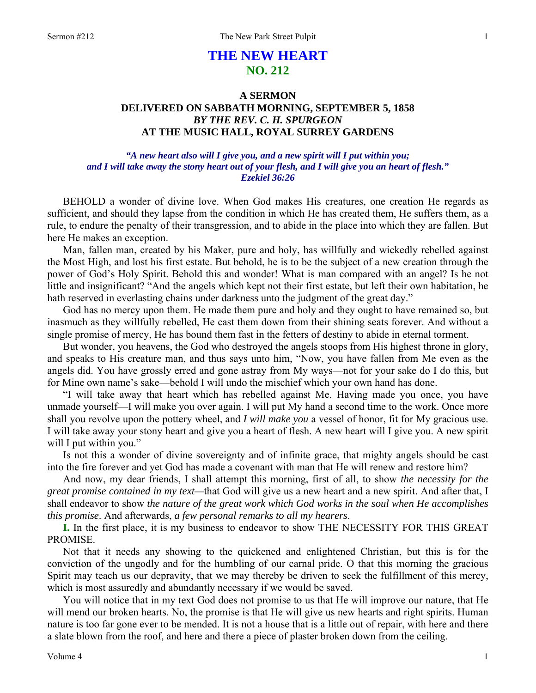# **THE NEW HEART NO. 212**

## **A SERMON DELIVERED ON SABBATH MORNING, SEPTEMBER 5, 1858**  *BY THE REV. C. H. SPURGEON*  **AT THE MUSIC HALL, ROYAL SURREY GARDENS**

### *"A new heart also will I give you, and a new spirit will I put within you; and I will take away the stony heart out of your flesh, and I will give you an heart of flesh." Ezekiel 36:26*

BEHOLD a wonder of divine love. When God makes His creatures, one creation He regards as sufficient, and should they lapse from the condition in which He has created them, He suffers them, as a rule, to endure the penalty of their transgression, and to abide in the place into which they are fallen. But here He makes an exception.

Man, fallen man, created by his Maker, pure and holy, has willfully and wickedly rebelled against the Most High, and lost his first estate. But behold, he is to be the subject of a new creation through the power of God's Holy Spirit. Behold this and wonder! What is man compared with an angel? Is he not little and insignificant? "And the angels which kept not their first estate, but left their own habitation, he hath reserved in everlasting chains under darkness unto the judgment of the great day."

God has no mercy upon them. He made them pure and holy and they ought to have remained so, but inasmuch as they willfully rebelled, He cast them down from their shining seats forever. And without a single promise of mercy, He has bound them fast in the fetters of destiny to abide in eternal torment.

But wonder, you heavens, the God who destroyed the angels stoops from His highest throne in glory, and speaks to His creature man, and thus says unto him, "Now, you have fallen from Me even as the angels did. You have grossly erred and gone astray from My ways—not for your sake do I do this, but for Mine own name's sake—behold I will undo the mischief which your own hand has done.

"I will take away that heart which has rebelled against Me. Having made you once, you have unmade yourself—I will make you over again. I will put My hand a second time to the work. Once more shall you revolve upon the pottery wheel, and *I will make you* a vessel of honor, fit for My gracious use. I will take away your stony heart and give you a heart of flesh. A new heart will I give you. A new spirit will I put within you."

Is not this a wonder of divine sovereignty and of infinite grace, that mighty angels should be cast into the fire forever and yet God has made a covenant with man that He will renew and restore him?

And now, my dear friends, I shall attempt this morning, first of all, to show *the necessity for the great promise contained in my text—*that God will give us a new heart and a new spirit. And after that, I shall endeavor to show *the nature of the great work which God works in the soul when He accomplishes this promise*. And afterwards, *a few personal remarks to all my hearers*.

**I.** In the first place, it is my business to endeavor to show THE NECESSITY FOR THIS GREAT PROMISE.

Not that it needs any showing to the quickened and enlightened Christian, but this is for the conviction of the ungodly and for the humbling of our carnal pride. O that this morning the gracious Spirit may teach us our depravity, that we may thereby be driven to seek the fulfillment of this mercy, which is most assuredly and abundantly necessary if we would be saved.

You will notice that in my text God does not promise to us that He will improve our nature, that He will mend our broken hearts. No, the promise is that He will give us new hearts and right spirits. Human nature is too far gone ever to be mended. It is not a house that is a little out of repair, with here and there a slate blown from the roof, and here and there a piece of plaster broken down from the ceiling.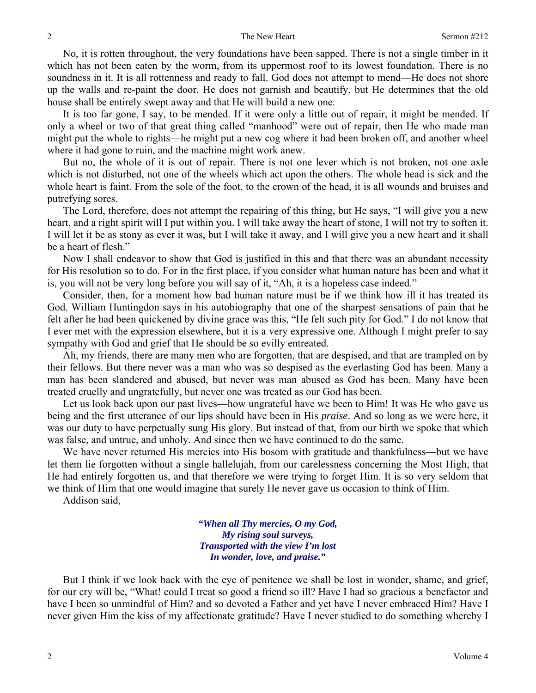No, it is rotten throughout, the very foundations have been sapped. There is not a single timber in it which has not been eaten by the worm, from its uppermost roof to its lowest foundation. There is no soundness in it. It is all rottenness and ready to fall. God does not attempt to mend—He does not shore up the walls and re-paint the door. He does not garnish and beautify, but He determines that the old house shall be entirely swept away and that He will build a new one.

It is too far gone, I say, to be mended. If it were only a little out of repair, it might be mended. If only a wheel or two of that great thing called "manhood" were out of repair, then He who made man might put the whole to rights—he might put a new cog where it had been broken off, and another wheel where it had gone to ruin, and the machine might work anew.

But no, the whole of it is out of repair. There is not one lever which is not broken, not one axle which is not disturbed, not one of the wheels which act upon the others. The whole head is sick and the whole heart is faint. From the sole of the foot, to the crown of the head, it is all wounds and bruises and putrefying sores.

The Lord, therefore, does not attempt the repairing of this thing, but He says, "I will give you a new heart, and a right spirit will I put within you. I will take away the heart of stone, I will not try to soften it. I will let it be as stony as ever it was, but I will take it away, and I will give you a new heart and it shall be a heart of flesh."

Now I shall endeavor to show that God is justified in this and that there was an abundant necessity for His resolution so to do. For in the first place, if you consider what human nature has been and what it is, you will not be very long before you will say of it, "Ah, it is a hopeless case indeed."

Consider, then, for a moment how bad human nature must be if we think how ill it has treated its God. William Huntingdon says in his autobiography that one of the sharpest sensations of pain that he felt after he had been quickened by divine grace was this, "He felt such pity for God." I do not know that I ever met with the expression elsewhere, but it is a very expressive one. Although I might prefer to say sympathy with God and grief that He should be so evilly entreated.

Ah, my friends, there are many men who are forgotten, that are despised, and that are trampled on by their fellows. But there never was a man who was so despised as the everlasting God has been. Many a man has been slandered and abused, but never was man abused as God has been. Many have been treated cruelly and ungratefully, but never one was treated as our God has been.

Let us look back upon our past lives—how ungrateful have we been to Him! It was He who gave us being and the first utterance of our lips should have been in His *praise*. And so long as we were here, it was our duty to have perpetually sung His glory. But instead of that, from our birth we spoke that which was false, and untrue, and unholy. And since then we have continued to do the same.

We have never returned His mercies into His bosom with gratitude and thankfulness—but we have let them lie forgotten without a single hallelujah, from our carelessness concerning the Most High, that He had entirely forgotten us, and that therefore we were trying to forget Him. It is so very seldom that we think of Him that one would imagine that surely He never gave us occasion to think of Him.

Addison said,

*"When all Thy mercies, O my God, My rising soul surveys, Transported with the view I'm lost In wonder, love, and praise."* 

But I think if we look back with the eye of penitence we shall be lost in wonder, shame, and grief, for our cry will be, "What! could I treat so good a friend so ill? Have I had so gracious a benefactor and have I been so unmindful of Him? and so devoted a Father and yet have I never embraced Him? Have I never given Him the kiss of my affectionate gratitude? Have I never studied to do something whereby I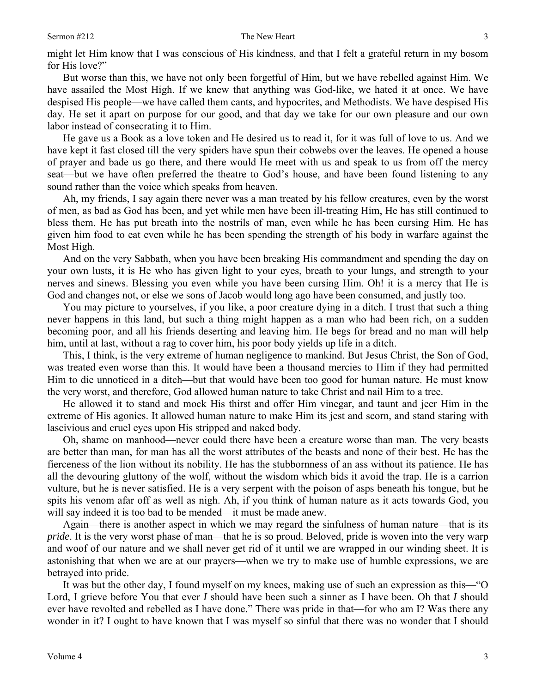#### Sermon #212 The New Heart

might let Him know that I was conscious of His kindness, and that I felt a grateful return in my bosom for His love?"

But worse than this, we have not only been forgetful of Him, but we have rebelled against Him. We have assailed the Most High. If we knew that anything was God-like, we hated it at once. We have despised His people—we have called them cants, and hypocrites, and Methodists. We have despised His day. He set it apart on purpose for our good, and that day we take for our own pleasure and our own labor instead of consecrating it to Him.

He gave us a Book as a love token and He desired us to read it, for it was full of love to us. And we have kept it fast closed till the very spiders have spun their cobwebs over the leaves. He opened a house of prayer and bade us go there, and there would He meet with us and speak to us from off the mercy seat—but we have often preferred the theatre to God's house, and have been found listening to any sound rather than the voice which speaks from heaven.

Ah, my friends, I say again there never was a man treated by his fellow creatures, even by the worst of men, as bad as God has been, and yet while men have been ill-treating Him, He has still continued to bless them. He has put breath into the nostrils of man, even while he has been cursing Him. He has given him food to eat even while he has been spending the strength of his body in warfare against the Most High.

And on the very Sabbath, when you have been breaking His commandment and spending the day on your own lusts, it is He who has given light to your eyes, breath to your lungs, and strength to your nerves and sinews. Blessing you even while you have been cursing Him. Oh! it is a mercy that He is God and changes not, or else we sons of Jacob would long ago have been consumed, and justly too.

You may picture to yourselves, if you like, a poor creature dying in a ditch. I trust that such a thing never happens in this land, but such a thing might happen as a man who had been rich, on a sudden becoming poor, and all his friends deserting and leaving him. He begs for bread and no man will help him, until at last, without a rag to cover him, his poor body yields up life in a ditch.

This, I think, is the very extreme of human negligence to mankind. But Jesus Christ, the Son of God, was treated even worse than this. It would have been a thousand mercies to Him if they had permitted Him to die unnoticed in a ditch—but that would have been too good for human nature. He must know the very worst, and therefore, God allowed human nature to take Christ and nail Him to a tree.

He allowed it to stand and mock His thirst and offer Him vinegar, and taunt and jeer Him in the extreme of His agonies. It allowed human nature to make Him its jest and scorn, and stand staring with lascivious and cruel eyes upon His stripped and naked body.

Oh, shame on manhood—never could there have been a creature worse than man. The very beasts are better than man, for man has all the worst attributes of the beasts and none of their best. He has the fierceness of the lion without its nobility. He has the stubbornness of an ass without its patience. He has all the devouring gluttony of the wolf, without the wisdom which bids it avoid the trap. He is a carrion vulture, but he is never satisfied. He is a very serpent with the poison of asps beneath his tongue, but he spits his venom afar off as well as nigh. Ah, if you think of human nature as it acts towards God, you will say indeed it is too bad to be mended—it must be made anew.

Again—there is another aspect in which we may regard the sinfulness of human nature—that is its *pride*. It is the very worst phase of man—that he is so proud. Beloved, pride is woven into the very warp and woof of our nature and we shall never get rid of it until we are wrapped in our winding sheet. It is astonishing that when we are at our prayers—when we try to make use of humble expressions, we are betrayed into pride.

It was but the other day, I found myself on my knees, making use of such an expression as this—"O Lord, I grieve before You that ever *I* should have been such a sinner as I have been. Oh that *I* should ever have revolted and rebelled as I have done." There was pride in that—for who am I? Was there any wonder in it? I ought to have known that I was myself so sinful that there was no wonder that I should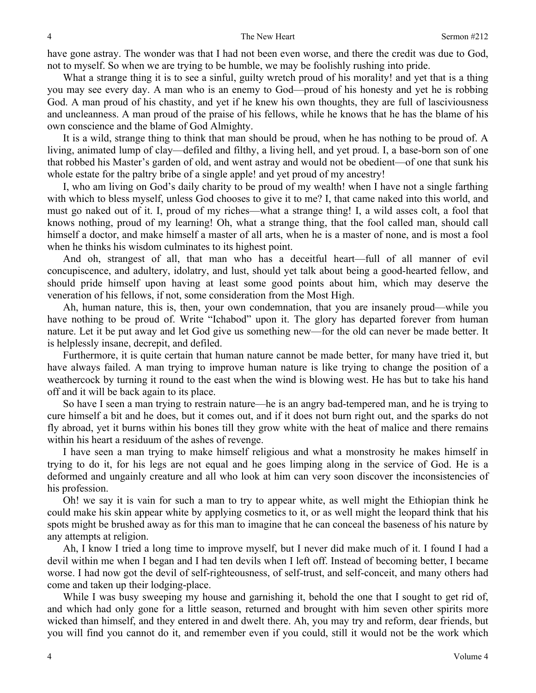have gone astray. The wonder was that I had not been even worse, and there the credit was due to God, not to myself. So when we are trying to be humble, we may be foolishly rushing into pride.

What a strange thing it is to see a sinful, guilty wretch proud of his morality! and yet that is a thing you may see every day. A man who is an enemy to God—proud of his honesty and yet he is robbing God. A man proud of his chastity, and yet if he knew his own thoughts, they are full of lasciviousness and uncleanness. A man proud of the praise of his fellows, while he knows that he has the blame of his own conscience and the blame of God Almighty.

It is a wild, strange thing to think that man should be proud, when he has nothing to be proud of. A living, animated lump of clay—defiled and filthy, a living hell, and yet proud. I, a base-born son of one that robbed his Master's garden of old, and went astray and would not be obedient—of one that sunk his whole estate for the paltry bribe of a single apple! and yet proud of my ancestry!

I, who am living on God's daily charity to be proud of my wealth! when I have not a single farthing with which to bless myself, unless God chooses to give it to me? I, that came naked into this world, and must go naked out of it. I, proud of my riches—what a strange thing! I, a wild asses colt, a fool that knows nothing, proud of my learning! Oh, what a strange thing, that the fool called man, should call himself a doctor, and make himself a master of all arts, when he is a master of none, and is most a fool when he thinks his wisdom culminates to its highest point.

And oh, strangest of all, that man who has a deceitful heart—full of all manner of evil concupiscence, and adultery, idolatry, and lust, should yet talk about being a good-hearted fellow, and should pride himself upon having at least some good points about him, which may deserve the veneration of his fellows, if not, some consideration from the Most High.

Ah, human nature, this is, then, your own condemnation, that you are insanely proud—while you have nothing to be proud of. Write "Ichabod" upon it. The glory has departed forever from human nature. Let it be put away and let God give us something new—for the old can never be made better. It is helplessly insane, decrepit, and defiled.

Furthermore, it is quite certain that human nature cannot be made better, for many have tried it, but have always failed. A man trying to improve human nature is like trying to change the position of a weathercock by turning it round to the east when the wind is blowing west. He has but to take his hand off and it will be back again to its place.

So have I seen a man trying to restrain nature—he is an angry bad-tempered man, and he is trying to cure himself a bit and he does, but it comes out, and if it does not burn right out, and the sparks do not fly abroad, yet it burns within his bones till they grow white with the heat of malice and there remains within his heart a residuum of the ashes of revenge.

I have seen a man trying to make himself religious and what a monstrosity he makes himself in trying to do it, for his legs are not equal and he goes limping along in the service of God. He is a deformed and ungainly creature and all who look at him can very soon discover the inconsistencies of his profession.

Oh! we say it is vain for such a man to try to appear white, as well might the Ethiopian think he could make his skin appear white by applying cosmetics to it, or as well might the leopard think that his spots might be brushed away as for this man to imagine that he can conceal the baseness of his nature by any attempts at religion.

Ah, I know I tried a long time to improve myself, but I never did make much of it. I found I had a devil within me when I began and I had ten devils when I left off. Instead of becoming better, I became worse. I had now got the devil of self-righteousness, of self-trust, and self-conceit, and many others had come and taken up their lodging-place.

While I was busy sweeping my house and garnishing it, behold the one that I sought to get rid of, and which had only gone for a little season, returned and brought with him seven other spirits more wicked than himself, and they entered in and dwelt there. Ah, you may try and reform, dear friends, but you will find you cannot do it, and remember even if you could, still it would not be the work which

4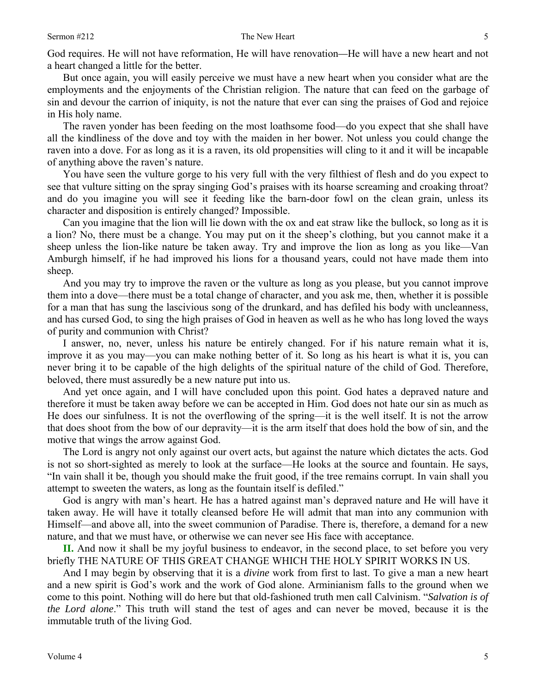God requires. He will not have reformation, He will have renovation*—*He will have a new heart and not a heart changed a little for the better.

But once again, you will easily perceive we must have a new heart when you consider what are the employments and the enjoyments of the Christian religion. The nature that can feed on the garbage of sin and devour the carrion of iniquity, is not the nature that ever can sing the praises of God and rejoice in His holy name.

The raven yonder has been feeding on the most loathsome food—do you expect that she shall have all the kindliness of the dove and toy with the maiden in her bower. Not unless you could change the raven into a dove. For as long as it is a raven, its old propensities will cling to it and it will be incapable of anything above the raven's nature.

You have seen the vulture gorge to his very full with the very filthiest of flesh and do you expect to see that vulture sitting on the spray singing God's praises with its hoarse screaming and croaking throat? and do you imagine you will see it feeding like the barn-door fowl on the clean grain, unless its character and disposition is entirely changed? Impossible.

Can you imagine that the lion will lie down with the ox and eat straw like the bullock, so long as it is a lion? No, there must be a change. You may put on it the sheep's clothing, but you cannot make it a sheep unless the lion-like nature be taken away. Try and improve the lion as long as you like—Van Amburgh himself, if he had improved his lions for a thousand years, could not have made them into sheep.

And you may try to improve the raven or the vulture as long as you please, but you cannot improve them into a dove—there must be a total change of character, and you ask me, then, whether it is possible for a man that has sung the lascivious song of the drunkard, and has defiled his body with uncleanness, and has cursed God, to sing the high praises of God in heaven as well as he who has long loved the ways of purity and communion with Christ?

I answer, no, never, unless his nature be entirely changed. For if his nature remain what it is, improve it as you may—you can make nothing better of it. So long as his heart is what it is, you can never bring it to be capable of the high delights of the spiritual nature of the child of God. Therefore, beloved, there must assuredly be a new nature put into us.

And yet once again, and I will have concluded upon this point. God hates a depraved nature and therefore it must be taken away before we can be accepted in Him. God does not hate our sin as much as He does our sinfulness. It is not the overflowing of the spring—it is the well itself. It is not the arrow that does shoot from the bow of our depravity—it is the arm itself that does hold the bow of sin, and the motive that wings the arrow against God.

The Lord is angry not only against our overt acts, but against the nature which dictates the acts. God is not so short-sighted as merely to look at the surface—He looks at the source and fountain. He says, "In vain shall it be, though you should make the fruit good, if the tree remains corrupt. In vain shall you attempt to sweeten the waters, as long as the fountain itself is defiled."

God is angry with man's heart. He has a hatred against man's depraved nature and He will have it taken away. He will have it totally cleansed before He will admit that man into any communion with Himself—and above all, into the sweet communion of Paradise. There is, therefore, a demand for a new nature, and that we must have, or otherwise we can never see His face with acceptance.

**II.** And now it shall be my joyful business to endeavor, in the second place, to set before you very briefly THE NATURE OF THIS GREAT CHANGE WHICH THE HOLY SPIRIT WORKS IN US.

And I may begin by observing that it is a *divine* work from first to last. To give a man a new heart and a new spirit is God's work and the work of God alone. Arminianism falls to the ground when we come to this point. Nothing will do here but that old-fashioned truth men call Calvinism. "*Salvation is of the Lord alone*." This truth will stand the test of ages and can never be moved, because it is the immutable truth of the living God.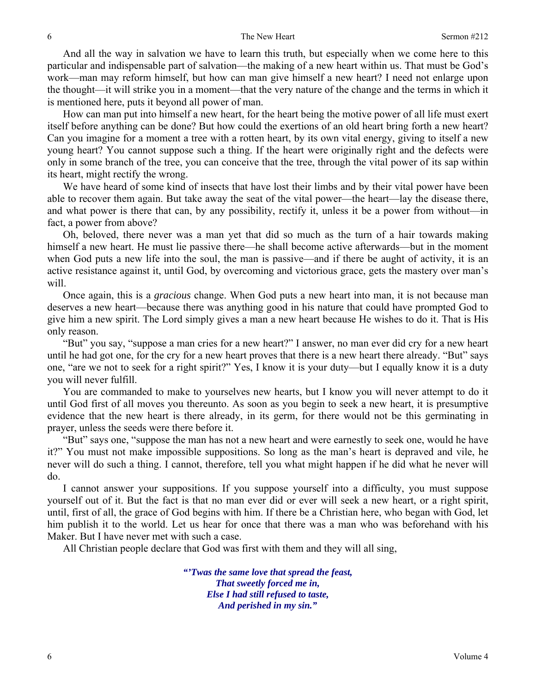And all the way in salvation we have to learn this truth, but especially when we come here to this particular and indispensable part of salvation—the making of a new heart within us. That must be God's work—man may reform himself, but how can man give himself a new heart? I need not enlarge upon the thought—it will strike you in a moment—that the very nature of the change and the terms in which it is mentioned here, puts it beyond all power of man.

How can man put into himself a new heart, for the heart being the motive power of all life must exert itself before anything can be done? But how could the exertions of an old heart bring forth a new heart? Can you imagine for a moment a tree with a rotten heart, by its own vital energy, giving to itself a new young heart? You cannot suppose such a thing. If the heart were originally right and the defects were only in some branch of the tree, you can conceive that the tree, through the vital power of its sap within its heart, might rectify the wrong.

We have heard of some kind of insects that have lost their limbs and by their vital power have been able to recover them again. But take away the seat of the vital power—the heart—lay the disease there, and what power is there that can, by any possibility, rectify it, unless it be a power from without—in fact, a power from above?

Oh, beloved, there never was a man yet that did so much as the turn of a hair towards making himself a new heart. He must lie passive there—he shall become active afterwards—but in the moment when God puts a new life into the soul, the man is passive—and if there be aught of activity, it is an active resistance against it, until God, by overcoming and victorious grace, gets the mastery over man's will.

Once again, this is a *gracious* change. When God puts a new heart into man, it is not because man deserves a new heart—because there was anything good in his nature that could have prompted God to give him a new spirit. The Lord simply gives a man a new heart because He wishes to do it. That is His only reason.

"But" you say, "suppose a man cries for a new heart?" I answer, no man ever did cry for a new heart until he had got one, for the cry for a new heart proves that there is a new heart there already. "But" says one, "are we not to seek for a right spirit?" Yes, I know it is your duty—but I equally know it is a duty you will never fulfill.

You are commanded to make to yourselves new hearts, but I know you will never attempt to do it until God first of all moves you thereunto. As soon as you begin to seek a new heart, it is presumptive evidence that the new heart is there already, in its germ, for there would not be this germinating in prayer, unless the seeds were there before it.

"But" says one, "suppose the man has not a new heart and were earnestly to seek one, would he have it?" You must not make impossible suppositions. So long as the man's heart is depraved and vile, he never will do such a thing. I cannot, therefore, tell you what might happen if he did what he never will do.

I cannot answer your suppositions. If you suppose yourself into a difficulty, you must suppose yourself out of it. But the fact is that no man ever did or ever will seek a new heart, or a right spirit, until, first of all, the grace of God begins with him. If there be a Christian here, who began with God, let him publish it to the world. Let us hear for once that there was a man who was beforehand with his Maker. But I have never met with such a case.

All Christian people declare that God was first with them and they will all sing,

*"'Twas the same love that spread the feast, That sweetly forced me in, Else I had still refused to taste, And perished in my sin."*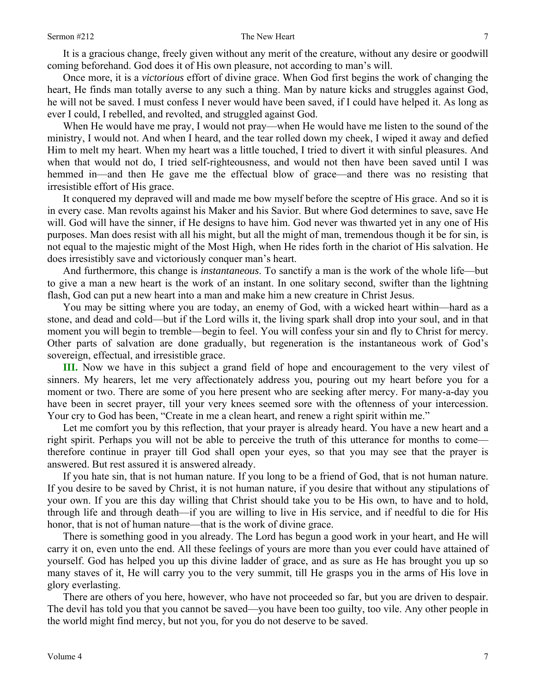It is a gracious change, freely given without any merit of the creature, without any desire or goodwill coming beforehand. God does it of His own pleasure, not according to man's will.

Once more, it is a *victorious* effort of divine grace. When God first begins the work of changing the heart, He finds man totally averse to any such a thing. Man by nature kicks and struggles against God, he will not be saved. I must confess I never would have been saved, if I could have helped it. As long as ever I could, I rebelled, and revolted, and struggled against God.

When He would have me pray, I would not pray—when He would have me listen to the sound of the ministry, I would not. And when I heard, and the tear rolled down my cheek, I wiped it away and defied Him to melt my heart. When my heart was a little touched, I tried to divert it with sinful pleasures. And when that would not do, I tried self-righteousness, and would not then have been saved until I was hemmed in—and then He gave me the effectual blow of grace—and there was no resisting that irresistible effort of His grace.

It conquered my depraved will and made me bow myself before the sceptre of His grace. And so it is in every case. Man revolts against his Maker and his Savior. But where God determines to save, save He will. God will have the sinner, if He designs to have him. God never was thwarted yet in any one of His purposes. Man does resist with all his might, but all the might of man, tremendous though it be for sin, is not equal to the majestic might of the Most High, when He rides forth in the chariot of His salvation. He does irresistibly save and victoriously conquer man's heart.

And furthermore, this change is *instantaneous*. To sanctify a man is the work of the whole life—but to give a man a new heart is the work of an instant. In one solitary second, swifter than the lightning flash, God can put a new heart into a man and make him a new creature in Christ Jesus.

You may be sitting where you are today, an enemy of God, with a wicked heart within—hard as a stone, and dead and cold—but if the Lord wills it, the living spark shall drop into your soul, and in that moment you will begin to tremble—begin to feel. You will confess your sin and fly to Christ for mercy. Other parts of salvation are done gradually, but regeneration is the instantaneous work of God's sovereign, effectual, and irresistible grace.

**III.** Now we have in this subject a grand field of hope and encouragement to the very vilest of sinners. My hearers, let me very affectionately address you, pouring out my heart before you for a moment or two. There are some of you here present who are seeking after mercy. For many-a-day you have been in secret prayer, till your very knees seemed sore with the oftenness of your intercession. Your cry to God has been, "Create in me a clean heart, and renew a right spirit within me."

Let me comfort you by this reflection, that your prayer is already heard. You have a new heart and a right spirit. Perhaps you will not be able to perceive the truth of this utterance for months to come therefore continue in prayer till God shall open your eyes, so that you may see that the prayer is answered. But rest assured it is answered already.

If you hate sin, that is not human nature. If you long to be a friend of God, that is not human nature. If you desire to be saved by Christ, it is not human nature, if you desire that without any stipulations of your own. If you are this day willing that Christ should take you to be His own, to have and to hold, through life and through death—if you are willing to live in His service, and if needful to die for His honor, that is not of human nature—that is the work of divine grace.

There is something good in you already. The Lord has begun a good work in your heart, and He will carry it on, even unto the end. All these feelings of yours are more than you ever could have attained of yourself. God has helped you up this divine ladder of grace, and as sure as He has brought you up so many staves of it, He will carry you to the very summit, till He grasps you in the arms of His love in glory everlasting.

There are others of you here, however, who have not proceeded so far, but you are driven to despair. The devil has told you that you cannot be saved—you have been too guilty, too vile. Any other people in the world might find mercy, but not you, for you do not deserve to be saved.

7